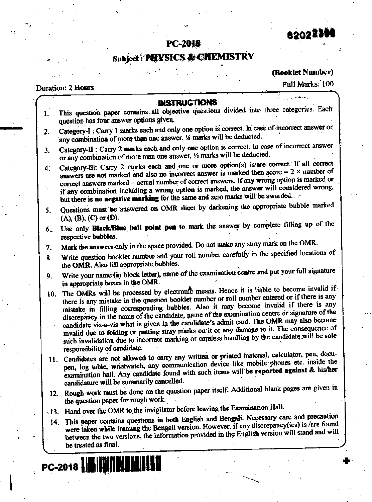82022304

# Subject: PHYSICS & CHEMISTRY

(Booklet Number)

# Duration: 2 Hours

Full Marks: 100

| 1.              | <b>INSTRUCTIONS</b><br>This question paper contains all objective questions divided into three categories. Each                                                                                                                                                                                                                                                                                                                                                                                                                                                                                                                                                                                              |  |
|-----------------|--------------------------------------------------------------------------------------------------------------------------------------------------------------------------------------------------------------------------------------------------------------------------------------------------------------------------------------------------------------------------------------------------------------------------------------------------------------------------------------------------------------------------------------------------------------------------------------------------------------------------------------------------------------------------------------------------------------|--|
|                 | question has four answer options given.                                                                                                                                                                                                                                                                                                                                                                                                                                                                                                                                                                                                                                                                      |  |
| 2.              | Category-I: Carry 1 marks each and only one option is correct. In case of incorrect answer or<br>any combination of more than one answer, 1/4 marks will be deducted.                                                                                                                                                                                                                                                                                                                                                                                                                                                                                                                                        |  |
| 3.              | Category-II : Carry 2 marks each and only one option is correct. In case of incorrect answer<br>or any combination of more man one answer, 1/2 marks will be deducted.                                                                                                                                                                                                                                                                                                                                                                                                                                                                                                                                       |  |
| 4.              | Category-Ill: Carry 2 marks each and one or more option(s) is/are correct. If all correct<br>answers are not marked and also no incorrect answer is marked then score = $2 \times$ number of<br>correct answers marked + actual number of correct answers. If any wrong option is marked or<br>if any combination including a wrong option is marked, the answer will considered wrong,<br>but there is no negative marking for the same and zero marks will be awarded.                                                                                                                                                                                                                                     |  |
| 5.              | Questions must be answered on OMR sheet by darkening the appropriate bubble marked<br>$(A), (B), (C)$ or $(D)$ .                                                                                                                                                                                                                                                                                                                                                                                                                                                                                                                                                                                             |  |
| б.              | Use only Black/Blue bail point pen to mark the answer by complete filling up of the<br>respective bubbles.                                                                                                                                                                                                                                                                                                                                                                                                                                                                                                                                                                                                   |  |
| 7.              | Mark the answers only in the space provided. Do not make any stray mark on the OMR.                                                                                                                                                                                                                                                                                                                                                                                                                                                                                                                                                                                                                          |  |
| 8.              | Write question booklet number and your roll number carefully in the specified locations of<br>the OMR. Also fill appropriate bubbles.                                                                                                                                                                                                                                                                                                                                                                                                                                                                                                                                                                        |  |
| 9.              | Write your name (in block letter), name of the examination centre and put your full signature<br>in appropriate boxes in the OMR.                                                                                                                                                                                                                                                                                                                                                                                                                                                                                                                                                                            |  |
| 10.             | The OMRs will be processed by electronic means. Hence it is liable to become invalid if<br>there is any mistake in the question booklet number or roll number entered or if there is any<br>mistake in filling corresponding bubbles. Also it may become invalid if there is any<br>discrepancy in the name of the candidate, name of the examination centre or signature of the<br>candidate vis-a-vis what is given in the candidate's admit card. The OMR may also become<br>invalid due to folding or putting stray marks on it or any damage to it. The consequence of<br>such invalidation due to incorrect marking or careless handling by the candidate will be sole<br>responsibility of candidate. |  |
|                 | 11. Candidates are not allowed to carry any written or printed material, calculator, pen, docu-<br>pen, log table, wristwatch, any communication device like mobile phones etc. inside the<br>examination hall. Any candidate found with such items will be reported against & his/her<br>candidature will be summarily cancelled.                                                                                                                                                                                                                                                                                                                                                                           |  |
|                 | 12. Rough work must be done on the question paper itself. Additional blank pages are given in<br>the question paper for rough work.                                                                                                                                                                                                                                                                                                                                                                                                                                                                                                                                                                          |  |
| $\cdot$ 13.     | Hand over the OMR to the invigilator before leaving the Examination Hall.                                                                                                                                                                                                                                                                                                                                                                                                                                                                                                                                                                                                                                    |  |
| 14 <sub>1</sub> | This paper contains questions in both English and Bengali. Necessary care and precaution<br>were taken while framing the Bengali version. However, if any discrepancy(ies) is /are found<br>between the two versions, the information provided in the English version will stand and will<br>be treated as final.                                                                                                                                                                                                                                                                                                                                                                                            |  |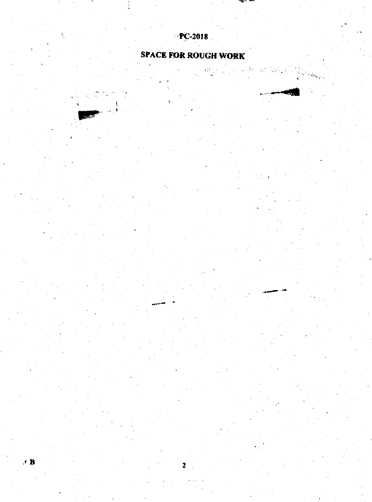# $P$ **PC-2018**

# **SPACE FOR ROUGH WORK**

 $\frac{1}{2}$ ×.

,

 $\bullet$  B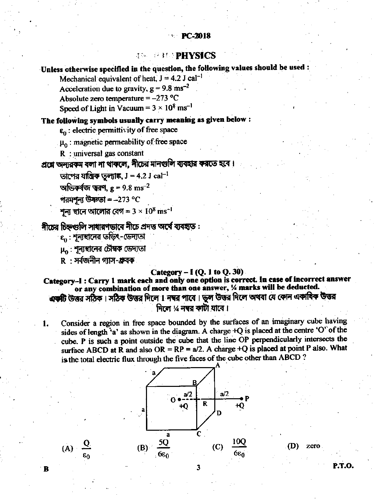# *ASSER BEEFINGS*

# Unless otherwise specified in the question, the following values should be used:

Mechanical equivalent of heat,  $J = 4.2$  J cal<sup>-1</sup> Acceleration due to gravity,  $g = 9.8$  ms<sup>-2</sup>

Absolute zero temperature =  $-273$  °C

Speed of Light in Vacuum =  $3 \times 10^8$  ms<sup>-1</sup>

### The following symbols usually carry meaning as given below:

 $\epsilon_0$ : electric permittivity of free space

 $\mu_0$ : magnetic permeability of free space

 $R$ : universal gas constant

# প্রশ্নে অন্যরকম বলা না থাকলে, নীচের মানগুলি ব্যবহার করতে হবে।

তাপের যান্ত্রিক তল্যাঙ্ক,  $J = 4.2 J$   $cal^{-1}$ 

অভিকৰ্ষজ ত্বরণ,  $g = 9.8 \text{ ms}^{-2}$ 

পরমশূন্য উষ্ণতা =  $-273$  °C

শূন্য হানে আলোর বেগ =  $3 \times 10^8 \text{ ms}^{-1}$ 

# নীচের চিহ্নগুলি সাধারণভাবে নীচে প্রদত্ত অর্থে ব্যবহৃত:

 $\epsilon_0$  : শূন্যম্বানের তড়িৎ-ডেদ্যতা

 $\mu_{\alpha}$ : শূন্যম্বনের চৌম্বক ডেদ্যতা

 $R \cdot$ সৰ্বজনীন গাস-গ্ৰুবক

1.

B

 $(A) \frac{Q}{\epsilon_0}$ 

### Category  $-$  I (Q. 1 to Q. 30)

Category-I: Carry 1 mark each and only one option is correct. In case of incorrect answer or any combination of more than one answer, % marks will be deducted. একটি উত্তর সঠিক। সঠিক উত্তর দিলে 1 নম্বর পাবে। ভুল উত্তর দিলে অথবা যে কোন একাষিক উত্তর দিলে ½ নম্বর কাটা যাবে ।

Consider a region in free space bounded by the surfaces of an imaginary cube having sides of length 'a' as shown in the diagram. A charge +Q is placed at the centre 'O' of the cube. P is such a point outside the cube that the line OP perpendicularly intersects the surface ABCD at R and also OR = RP =  $a/2$ . A charge +Q is placed at point P also. What is the total electric flux through the five faces of the cube other than ABCD?



(D) zero

P.T.O.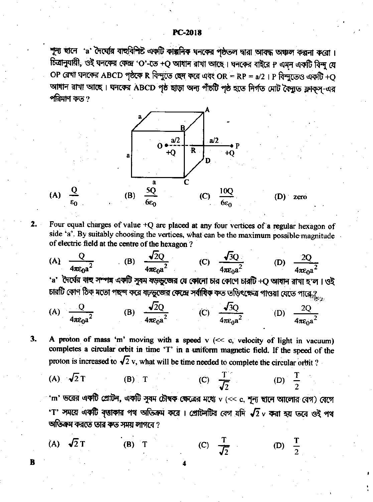শূল্য ছানে 'a' দৈর্ঘ্যের বাহুবিশিষ্ট একটি কাল্পনিক ঘনকের পৃষ্ঠতল দ্বারা আবদ্ধ অঞ্চল কল্পনা করো। চিত্রানুযায়ী, ওই ঘনকের কেন্দ্র 'O'-তে +Q আধান রাখা আছে। ঘনকের বাইরে P এমন একটি বিন্দু যে OP রেখা ঘনকের ABCD পৃষ্ঠকে R বিন্দুতে ছেদ করে এবং OR = RP = a/2 । P বিন্দুতেও একটি +Q আধান রাখা আছে। ঘনকের ABCD পৃষ্ঠ ছাড়া অন্য পাঁচটি পৃষ্ঠ হতে নির্গত মোট বৈদ্যুত ফ্লাক্স্-এর পরিমাণ কত ?



Four equal charges of value +Q are placed at any four vertices of a regular hexagon of side 'a'. By suitably choosing the vertices, what can be the maximum possible magnitude of electric field at the centre of the hexagon?

 $2.$ 

B

(A) 
$$
\frac{Q}{4\pi\varepsilon_0 a^2}
$$
 (B)  $\frac{\sqrt{2}Q}{4\pi\varepsilon_0 a^2}$  (C)  $\frac{\sqrt{3}Q}{4\pi\varepsilon_0 a^2}$  (D)  $\frac{2Q}{4\pi\varepsilon_0 a^2}$ 

দৈঘের বাঁহ সম্পন্ন একটি সুষম ষড়ভুজের যে কোনো চার কোণে চারটি +Q আখান রাখা হ'ল । ওই চারটি কোণ ঠিক মতো পছন্দ করে ষঢ়ভুজের কেন্দ্রে সর্বাধিক কত তড়িৎক্ষেত্র পাওয়া যেতে পারে $\mathcal{G}_{\mathbf{x},\mathbf{y}}$ 

(A)  $\frac{Q}{4\pi \epsilon_0 a^2}$  (B)  $\frac{\sqrt{2}Q}{4\pi \epsilon_0 a^2}$  (C)  $\frac{\sqrt{3}Q}{4\pi \epsilon_0 a^2}$  (D)  $\frac{2Q}{4\pi \epsilon_0 a^2}$ 

A proton of mass 'm' moving with a speed  $v \ll c$ , velocity of light in vacuum) 3. completes a circular orbit in time 'T' in a uniform magnetic field. If the speed of the proton is increased to  $\sqrt{2}$  v, what will be time needed to complete the circular orbit?

(A) 
$$
\sqrt{2}
$$
 T (B) T (C)  $\frac{T}{\sqrt{2}}$  (D)  $\frac{1}{2}$ 

'm' ভরের একটি প্রোটন, একটি সুষম চৌম্বক ক্ষেত্রের মধ্যে v (<< c, শূন্য ম্বানে আলোর বেগ) বেগে 'T' সময়ে একটি বৃত্তাকার পথ অতিক্রম করে। প্রোটনটির বেগ যদি  $\sqrt{2}$  v করা হয় তবে ওই পথ অভিক্রম করতে তার কত সময় লাগবে ?

(C)  $\frac{1}{\sqrt{2}}$ (D)  $\frac{T}{2}$ (A)  $\sqrt{2} \text{ T}$  $(B)$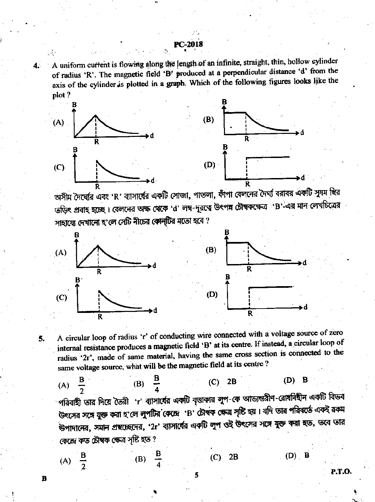A uniform current is flowing along the length of an infinite, straight, thin, hollow cylinder  $4.1$ of radius 'R'. The magnetic field 'B' produced at a perpendicular distance 'd' from the axis of the cylinder is plotted in a graph. Which of the following figures looks like the plot?



অসীম দৈর্ঘ্যের এবং 'R' ব্যাসার্ষের এ**কটি সোজা, পাতলা, ফাঁপা বেল**নের দৈর্ঘ্য বরাবর একটি সুষম <del>ছি</del>র তড়িৎ প্রবাহ হচ্ছে। বেলনের অক্ষ থেকে 'd' লম্ব-দূরত্বে উৎপন্ন চৌম্বকক্ষেত্র 'B'-এর মান লেখচিত্রের সাহায়ে দেখানো হ'লে সেটি নীচের কোন্টির মতো হবে ?



5.

B

(A)  $\frac{B}{2}$ 

(B)

A circular loop of radius 'r' of conducting wire connected with a voltage source of zero internal resistance produces a magnetic field 'B' at its centre. If instead, a circular loop of radius '2r', made of same material, having the same cross section is connected to the same voltage source, what will be the magnetic field at its centre?

(B)  $\frac{B}{4}$ (A)  $\frac{B}{2}$ В (D)  $(C)$  2B পরিবাহী তার দিয়ে তৈরী 'r' ব্যাসার্বের একটি বৃত্তাকার লুপ-কে আভ্যন্তরীণ-রোধবিহীন একটি বিভব উৎসের সঙ্গে যুক্ত করা হ'লে লুপটির কেন্দ্রে B' চৌম্বক ক্ষেত্র সৃষ্টি হয়। যদি তার পরিবর্তে একই রকম ন্ডপাদানের, সমান প্রছচ্ছেদের, '2r' ব্যাসার্বের একটি লুপ ওই উৎসের সঙ্গে যুক্ত করা হত, তবে তার কেন্দ্ৰে কত চৌম্বক ক্ষেত্ৰ সৃষ্টি হত ?

 $(C)$ 

 $(D)$  B  $2B$ 

**P.T.O.**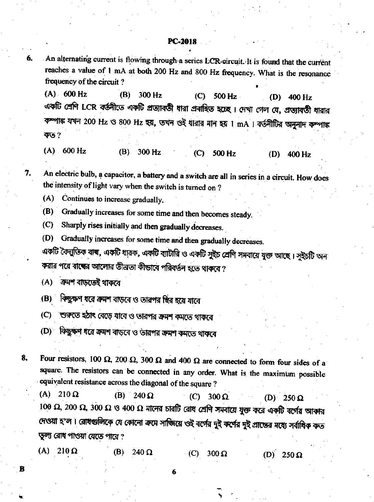An alternating current is flowing through a series LCR circuit. It is found that the current reaches a value of 1 mA at both 200 Hz and 800 Hz frequency. What is the resonance frequency of the circuit?

 $(A) 600 Hz$  $(B)$  $300$  Hz  $(C)$  $500$  Hz (D) 400 Hz একটি শ্রেণি LCR বর্তনীতে একটি প্রত্যাবতী থারা প্রবাহিত হচেছ। দেখা গেল যে, প্রত্যাবতী থারার কম্পাঙ্ক যখন 200 Hz ও 800 Hz হয়, তখন ওই ধারার মান হয় 1 mA । বর্তনীটির অনুনাদ কম্পাঙ্ক কত $?$ 

 $(A) 600 Hz$  $(B) 300$  Hz  $(C)$  500 Hz (D)  $400$  Hz

An electric bulb, a capacitor, a battery and a switch are all in series in a circuit. How does the intensity of light vary when the switch is turned on?

Continues to increase gradually.  $(A)$ 

(B) Gradually increases for some time and then becomes steady.

Sharply rises initially and then gradually decreases.  $(C)$ 

Gradually increases for some time and then gradually decreases.  $(D)$ 

একটি বৈদ্যুতিক বাৰ, একটি ধারক, একটি ব্যাটারি ও একটি সুইচ শ্রেণি সমবায়ে যুক্ত আছে । সুইচটি অন করার পরে বাব্বের আলোর তীব্রতা কীভাবে পরিবর্তন হতে থাকবে ?

ক্ৰমশ বাডতেই থাকবে  $(A)$ 

6.

7.

в

(B) কিছুক্ষণ ধরে ক্রমশ বাড়বে ও তারপর ছির হয়ে যাবে

(C) শুরুতে হঠাৎ বেড়ে যাবে ও তারপর ক্রমশ কমতে থাকরে

(D) কিছুক্ষণ ধরে ক্রমশ বাড়বে ও তারপর ক্রমশ কমতে থাকবে

Four resistors, 100  $\Omega$ , 200  $\Omega$ , 300  $\Omega$  and 400  $\Omega$  are connected to form four sides of a 8. square. The resistors can be connected in any order. What is the maximum possible equivalent resistance across the diagonal of the square ?

(A)  $210 \Omega$ (B) 240  $\Omega$ (C)  $300 \Omega$ (D)  $250 \Omega$  $100$  Ω, 200 Ω, 300 Ω ଓ 400 Ω मालत চারটি রোধ শ্রেণি সমবায়ে যুক্ত করে একটি বর্গের আকার দেওয়া হ'ল। রোধগুলিকে যে কোনো ক্রমে সাজিয়ে ওই বর্গের দুই কর্ণের দুই প্রান্ডের মধ্যে সর্বাধিক কত তল্য রোধ পাওয়া যেতে পারে?

 $(A)$  $210 \Omega$ (B)  $240 \Omega$  $\cdot$  (C).  $300 \Omega$ (D)  $250 \Omega$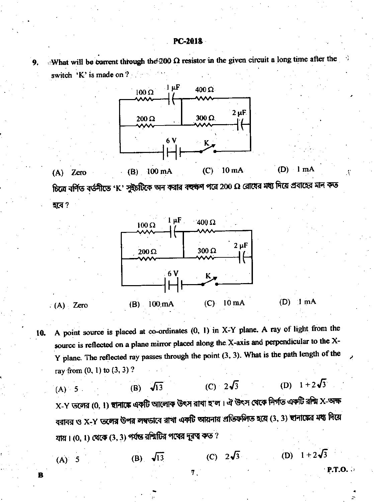What will be corrent through the 200  $\Omega$  resistor in the given circuit a long time after the 9. switch  $K$  is made on  $? \quad \blacksquare$ 



হবে?



 $(A)$  Zero

A point source is placed at co-ordinates (0, 1) in X-Y plane. A ray of light from the 10. source is reflected on a plane mirror placed along the X-axis and perpendicular to the X-Y plane. The reflected ray passes through the point (3, 3). What is the path length of the ray from  $(0, 1)$  to  $(3, 3)$  ?

(D)  $1 + 2\sqrt{3}$ (C)  $2\sqrt{3}$ (B)  $\sqrt{13}$  $(A) = 5$ .  ${\rm X}$ -Y তলের (0, 1) স্থানাঙ্কে একটি আলোক উৎস রাখা হ'ল। ঐ উৎস থেকে নির্গত একটি রশ্মি  ${\rm X}$ -অক্ষ বরাবর ও X-Y তলের উপর লম্বভাবে রাখা একটি আয়নায় প্রতিফলিত হয়ে (3, 3) ছানাঙ্কের মধ্য দিয়ে যায়।  $(0, 1)$  থেকে  $(3, 3)$  পর্যন্ত রশ্মিটির পথের দূরত্ব কত ?

7.

(B)  $\sqrt{13}$ 

(C)  $2\sqrt{3}$ 

(D)  $1 + 2\sqrt{3}$ 

 $P.T.O.$ 

 $(A)$  5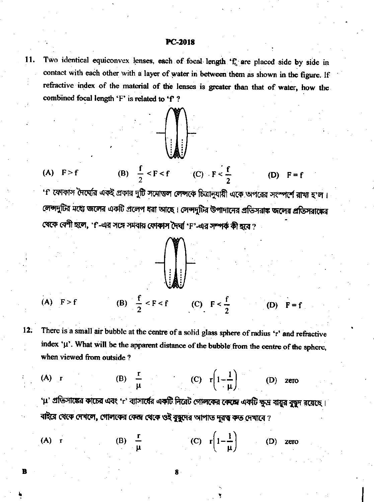Two identical equiconvex lenses, each of focal length 'f, are placed side by side in 11. contact with each other with a layer of water in between them as shown in the figure. If refractive index of the material of the lenses is greater than that of water, how the combined focal length 'F' is related to 'f'?



(A) 
$$
F > f
$$
 (B)  $\frac{f}{2} < F < f$  (C)  $F < \frac{f}{2}$  (D)  $F = f$ 

'।' ফোকাস দৈঘেরি একই প্রকার দুটি সমোত্তল লেন্সকে চিত্রানুযায়ী একে অপরের সংস্পর্শে রাখা হ'ল। লেন্সদুটির মধ্যে জলের একটি প্রলেপ ধরা আছে। লেন্সদুটির উপাদানের প্রতিসরাক জলের প্রতিসরাক্ষের থেকে বেশী হলে, 'f'-এর সঙ্গে সমবায় ফোকাস দৈর্ঘা 'F'-এর সম্পর্ক কী হবে ?

$$
1-\left(\begin{matrix} 0 \\ 0 \\ 0 \end{matrix}\right)
$$

(B)  $\frac{f}{2} < F < f$  (C)  $F < \frac{f}{2}$  $(A)$   $F > f$  $(D)$   $F = f$ 

There is a small air bubble at the centre of a solid glass sphere of radius 'r' and refractive  $12.$ index 'µ'. What will be the apparent distance of the bubble from the centre of the sphere, when viewed from outside?

(A) r (B) 
$$
\frac{r}{\mu}
$$
 (C)  $r(1-\frac{1}{\mu})$  (D) zero

'μ' প্রতিসাঙ্কের কাচের এবং 'r' ব্যাসার্ষের একটি নিরেট গোলকের কেন্দ্রে একটি ক্ষুদ্র বায়ুর বুছুদ রয়েছে । বাইরে থেকে দেখলে, গোলকের কেন্দ্র থেকে ওই বুদ্ধুদের আপাত দুরত্ব কত দেখাবে ?

(A) r (B) 
$$
\frac{r}{\mu}
$$
 (C)  $r(1-\frac{1}{\mu})$  (D) zero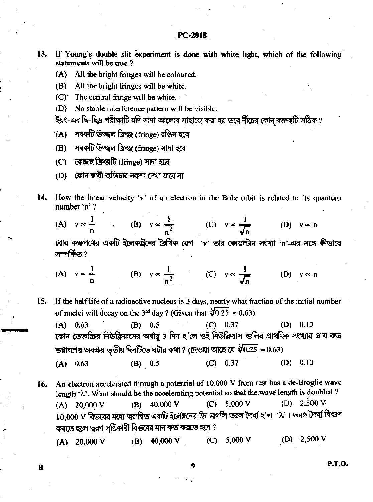If Young's double slit experiment is done with white light, which of the following 13. statements will be true?

- (A) All the bright fringes will be coloured.
- (B) All the bright fringes will be white.
- $(C)$  The central fringe will be white.
- No stable interference pattern will be visible.  $(D)$
- ইয়ং-এর দ্বি-ছিদ্র পরীক্ষাটি যদি সাদা আলোর সাহায্যে করা হয় তবে নীচের কোন্ বক্তব্যটি সঠিক ?
- সবকটি উজ্জ্বল ফ্রিঞ্জ (fringe) রঙিন হবে  $(A)$
- (B) সবকটি উজ্জ্বল ফ্রিঞ্জ (fringe) সাদা হবে
- (C) কেন্দ্ৰহু ফ্ৰিঞ্জটি (fringe) সাদা হবে
- কোন স্থায়ী ব্যতিচার নকশা দেখা যাবে না (D)
- 14. How the linear velocity 'v' of an electron in the Bohr orbit is related to its quantum number 'n' ?

(A) 
$$
v \propto \frac{1}{n}
$$
 (B)  $v \propto \frac{1}{n^2}$  (C)  $v \propto \frac{1}{\sqrt{n}}$  (D)  $v \propto n$ 

বোর কক্ষপথের একটি ইলেকট্রনের রৈখিক বেগ 'v' তার কোয়ান্টাম সংখ্যা 'n'-এর সঙ্গে কীভাবে সম্পৰ্কিত ?

(A) 
$$
v \propto \frac{1}{n}
$$
 (B)  $v \propto \frac{1}{n^2}$  (C)  $v \propto \frac{1}{\sqrt{n}}$  (D)  $v \propto n$ 

15. If the half life of a radioactive nucleus is 3 days, nearly what fraction of the initial number of nuclei will decay on the 3<sup>rd</sup> day ? (Given that  $\sqrt[3]{0.25} \approx 0.63$ )

 $(C)$  0.37  $(B) 0.5$  $(A)$  0.63  $(D)$  0.13 কোন তেজস্ক্রিয় নিউক্লিয়াসের অর্থায়ু 3 দিন হ'লে ওই নিউক্লিয়াস গুলির প্রাথমিক সংখ্যার প্রায় কত ডগ্নাংশের অবক্ষয় ততীয় দিনটিতে ঘটার কথা ? (দেওয়া আছে যে  $\sqrt[3]{0.25} \approx 0.63$ )  $(B) 0.5$  $(C) 0.37$  $(D)$  0.13  $(A)$  0.63

An electron accelerated through a potential of 10,000 V from rest has a de-Broglie wave 16. length ' $\lambda$ '. What should be the accelerating potential so that the wave length is doubled ? (D)  $2,500$  V  $(A)$  20,000 V  $(B)$  40,000 V  $(C)$ 5,000 V 10,000 V বিভবের মধ্যে ত্বরাগিত একটি ইলেক্টনের ডি-ব্রগলি তরঙ্গ দৈর্ঘ্য হ'ল ' $\lambda$ '। তরঙ্গ দৈর্ঘ্য দিগুণ করতে হলে ত্বরণ সৃষ্টিকারী বিভবের মান কত করতে হবে ?

 $(D)$  2,500 V (B)  $40,000 \text{ V}$  $(C)$ 5,000 V  $(A)$  20,000 V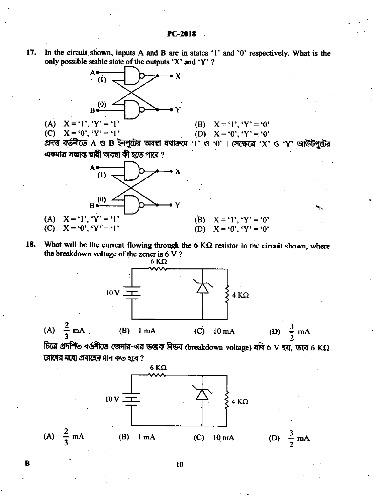17. In the circuit shown, inputs A and B are in states '1' and '0' respectively. What is the only possible stable state of the outputs 'X' and 'Y'?



(C)  $X = '0', 'Y' = '1'$ 

(B)  $X = '1', 'Y' = '0'$ 

(D)  $X = '0', 'Y' = '0'$ 

প্ৰদত্ত বৰ্তনীতে A ও B ইনপুটের অবহা যথাক্রমে '1' ও '0' । সেক্ষেত্রে 'X' ও 'Y' আউটপুটের এক্মাত্র সম্ভাব্য স্থায়ী অবস্থা কী হতে পারে ?



What will be the current flowing through the 6 K $\Omega$  resistor in the circuit shown, where 18. the breakdown voltage of the zener is  $6V$ ?



চিত্রে প্রদর্শিত বর্তনীতে জেনার-এর ভঞ্জক বিভব (breakdown voltage) যদি 6 V হয়, তবে 6 K $\Omega$ রোধের মধ্যে প্রবাহের মান কত হবে ?

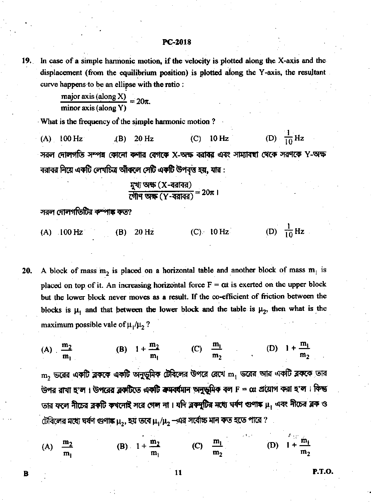In case of a simple harmonic motion, if the velocity is plotted along the X-axis and the 19. displacement (from the equilibrium position) is plotted along the Y-axis, the resultant curve happens to be an ellipse with the ratio:

$$
\frac{\text{major axis (along X)}}{\text{minor axis (along Y)}} = 20\pi.
$$

What is the frequency of the simple harmonic motion?

(D)  $\frac{1}{10}$  Hz  $(A)$  100 Hz 20 Hz  $(C)$  $10 Hz$  $AB)$ সরল দোলগতি সম্পন্ন কোনো কণার বেগকে X-অক্ষ বরাবর এবং সাম্যাবছা থেকে সরণকে Y-অক্ষ বরাবর নিয়ে একটি লেখচিত্র আঁকলে সেটি একটি উপবৃত্ত হয়, যার :

সরল দোলগতিটির কম্পাঙ্ক কত?

- (D)  $\frac{1}{10}$  Hz  $(A)$  100 Hz  $(C)$  10 Hz **20 Hz** (B)
- A block of mass  $m_2$  is placed on a horizontal table and another block of mass  $m_1$  is 20. placed on top of it. An increasing horizontal force  $F = \alpha t$  is exerted on the upper block but the lower block never moves as a result. If the co-efficient of friction between the blocks is  $\mu_1$  and that between the lower block and the table is  $\mu_2$ , then what is the maximum possible vale of  $\mu_1/\mu_2$ ?

(B)  $1 + \frac{m_2}{m_1}$  (C)  $\frac{m_1}{m_2}$  (D)  $1 + \frac{m_1}{m_2}$ (A)  $\frac{m_2}{m_1}$  $\, {\rm m}_2 \,$ ভরের একটি ব্লককে একটি অনুভূ্মিক টেবিলের উপরে রেখে  $\, {\rm m}_1 \,$ ভরের আর একটি ব্লককে তার উপর রাখা হ'ল। উপরের ব্লকটিতে একটি ক্রমবর্ষমান অনুভূমিক বল F =  $\alpha$ : প্রয়োগ করা হ'ল। কিন্তু তার ফলে নীচের ব্লকটি কখনোই সরে গেল না। যদি ব্লক্ষ্ণুটির মধ্যে ঘর্ষণ গুণাঙ্ক।  $\mu_1$  এবং নীচের ব্লক ও

টেবিলের মধ্যে ঘর্ষণ গুণাঙ্ক  $\mu_2$ , হয় তবে  $\mu_1/\mu_2$  —এর সর্বোচ্চ মান কত হতে পারে ?

| (A) $\frac{m_2}{m_1}$ |    | (B) $1 + \frac{m_2}{m_1}$ | (C) $\frac{m_1}{m_2}$ | (D) $1 + \frac{m_1}{m_1}$ |       |
|-----------------------|----|---------------------------|-----------------------|---------------------------|-------|
|                       | m, | $\mathbf{m}_1$            | m <sub>2</sub>        |                           | $m_2$ |

11

R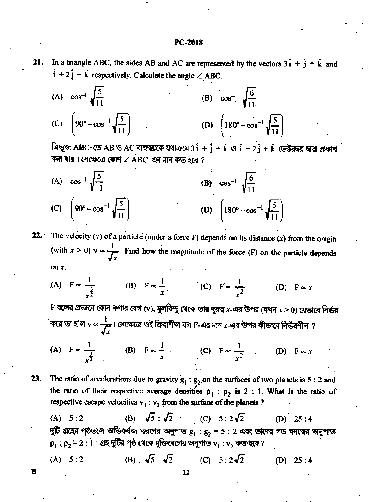In a triangle ABC, the sides AB and AC are represented by the vectors  $3\hat{i} + \hat{j} + \hat{k}$  and 21.  $\hat{i} + 2\hat{j} + \hat{k}$  respectively. Calculate the angle  $\angle$  ABC.

(A)  $\cos^{-1} \sqrt{\frac{5}{11}}$ (B)  $\cos^{-1} \sqrt{\frac{6}{11}}$ (C)  $\left[90^\circ - \cos^{-1} \sqrt{\frac{5}{11}}\right]$ (D)  $\left(180^\circ - \cos^{-1} \sqrt{\frac{5}{11}}\right)$ 

ত্রিভূজ ABC-তে AB ও AC বাহুদ্বয়কে যথাক্রমে  $3\hat{i} + \hat{j} + \hat{k}$  ও  $\hat{i} + 2\hat{j} + \hat{k}$  ভেক্টরদ্বয় দ্বারা প্রকাশ করা যায়। সেক্ষেত্রে কোণ  $\angle$  ABC-এর মান কড় হবে ?

(A) 
$$
\cos^{-1} \sqrt{\frac{5}{11}}
$$
  
\n(B)  $\cos^{-1} \sqrt{\frac{6}{11}}$   
\n(C)  $\left(90^{\circ} - \cos^{-1} \sqrt{\frac{5}{11}}\right)$   
\n(D)  $\left(180^{\circ} - \cos^{-1} \sqrt{\frac{5}{11}}\right)$ 

The velocity (v) of a particle (under a force  $F$ ) depends on its distance (x) from the origin 22. (with  $x > 0$ )  $v \propto \frac{1}{\sqrt{v}}$ . Find how the magnitude of the force (F) on the particle depends on x.

(A)  $F \propto \frac{1}{\frac{3}{2}}$  (B)  $F \propto \frac{1}{r}$  (C)  $F \propto \frac{1}{r^2}$ (D)  $F \propto x$ 

 ${\bf F}$  বঙ্গের প্রভাবে কোন কণার বেগ (v), মূলবিন্দু থেকে তার দূরত্ব  $x$ -এর উপর (যখন  $x \geq 0$ ) যেভাবে নির্ভর করে তা হ'ল  $v \propto \frac{1}{\sqrt{v}}$ । সেক্ষেত্রে ওই ক্রিয়াশীল বল F-এর মান  $x$ -এর উপর কীভাবে নির্ভরশীল ?

(A) 
$$
F \propto \frac{1}{x^{\frac{3}{2}}}
$$
 (B)  $F \propto \frac{1}{x}$  (C)  $F \propto \frac{1}{x^2}$  (D)  $F \propto x$ 

The ratio of accelerations due to gravity  $g_1 : g_2$  on the surfaces of two planets is 5 : 2 and 23. the ratio of their respective average densities  $\rho_1$ :  $\rho_2$  is 2:1. What is the ratio of respective escape velocities  $v_1 : v_2$  from the surface of the planets ?

(B)  $\sqrt{5}: \sqrt{2}$  (C)  $5:2\sqrt{2}$  $(A) 5:2$  $(D) 25:4$ দুটি গ্রহের পৃষ্ঠতলে অভিকর্ষজ ত্বরণের অনুপাত  $g_1: g_2 = 5: 2$  এবং তাদের গড় ঘনত্বের অনুপাত  $\rho_1$ :  $\rho_2$  = 2 : 1। গ্রহ দুটির পৃষ্ঠ থেকে মুক্তিবেগের অনুপাত  $v_1$ :  $v_2$  কত হবে ?

(A) 5:2 (B) 
$$
\sqrt{5} : \sqrt{2}
$$
 (C) 5:2 $\sqrt{2}$  (D) 25:4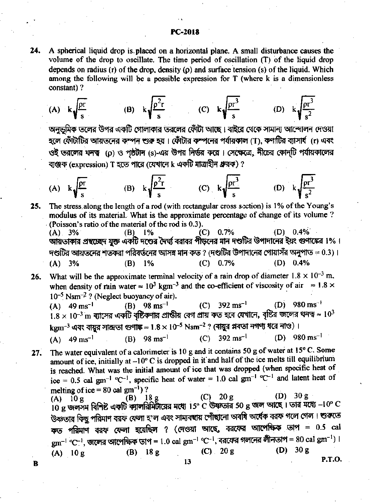A spherical liquid drop is placed on a horizontal plane. A small disturbance causes the 24. volume of the drop to oscillate. The time period of oscillation (T) of the liquid drop depends on radius (r) of the drop, density ( $\rho$ ) and surface tension (s) of the liquid. Which among the following will be a possible expression for T (where k is a dimensionless constant)?

(A) 
$$
k \sqrt{\frac{\rho r}{s}}
$$
 (B)  $k \sqrt{\frac{\rho^2 r}{s}}$  (C)  $k \sqrt{\frac{\rho r^3}{s}}$  (D)  $k \sqrt{\frac{\rho r^3}{s^2}}$ 

অনভূমিক তলের উপর একটি গোলাকার তরলের ফোঁটা আছে। বাইরে থেকে সামান্য আন্দোলন দেওয়া হলে ফোঁটাটির আয়তনের কম্পন শুরু হয়। ফোঁটার কম্পনের পর্যায়কাল (T), কণাটির ব্যাসার্ষ (r) এবং ওই ভরলের ঘনত্ব (p) ও পৃষ্ঠটান (s)-এর উপর নির্ভর করে। সেক্ষেত্রে, নীচের কোন্টি পর্যায়কালের ব্যঞ্জক (expression) T হতে পারে (যেখানে k একটি মাত্রাহীন ধ্রুরক) ?

(A) 
$$
k \sqrt{\frac{pr}{s}}
$$
 (B)  $k \sqrt{\frac{p^2r}{s}}$  (C)  $k \sqrt{\frac{pr^3}{s}}$  (D)  $k \sqrt{\frac{pr^3}{s^2}}$ 

25. The stress along the length of a rod (with rectangular cross section) is 1% of the Young's modulus of its material. What is the approximate percentage of change of its volume? (Poisson's ratio of the material of the rod is 0.3).  $(C)$  0.7%  $(D)$  0.4%  $(A) 3%$ (B)  $1%$ 

আয়তাকার প্রহুচ্ছেদ যুক্ত একটি দণ্ডের দৈর্ঘ্য বরাবর পীড়লের মান দণ্ডটির উপাদানের ইয়ং গুণাঙ্কের ।%। দণ্ডটির আয়তনের শতকরা পরিবর্তনের আসন্ন মান কত ? (দণ্ডটির উপাদানের পোয়াসঁর অনুপাত = 0.3)।  $(A)$  3%  $(B)$  1%  $(C)$  0.7%  $(D) 0.4%$ 

What will be the approximate terminal velocity of a rain drop of diameter  $1.8 \times 10^{-3}$  m, 26. when density of rain water  $\approx 10^3$  kgm<sup>-3</sup> and the co-efficient of viscosity of air  $\approx 1.8 \times$  $10^{-5}$  Nsm<sup>-2</sup>? (Neglect buoyancy of air).

(D) 980 ms<sup>-1</sup> (C)  $392 \text{ ms}^{-1}$  $(A)$  49 ms<sup>-1</sup> (B)  $98 \text{ ms}^{-1}$  $1.8 \times 10^{-3}$  m বাসের একটি বৃষ্টিকণার প্রান্ডীয় বেগ প্রায় কত হবে যেখানে, বৃষ্টির জলের ঘনত্ব ≈  $10^3$ kgm<sup>-3</sup> এবং বায়ুর সান্দ্রতা গুণাঙ্ক ≈ 1.8 × 10<sup>-5</sup> Nsm<sup>-2</sup> ? (বায়ুর প্লবতা নগণ্য ধরে নাও)। (C)  $392 \text{ ms}^{-1}$ (D)  $980 \text{ ms}^{-1}$ (B)  $98 \text{ ms}^{-1}$ (A)  $49 \text{ ms}^{-1}$ 

The water equivalent of a calorimeter is 10 g and it contains 50 g of water at 15° C. Some  $27.$ amount of ice, initially at  $-10^{\circ}$  C is dropped in it and half of the ice melts till equilibrium is reached. What was the initial amount of ice that was dropped (when specific heat of ice = 0.5 cal gm<sup>-1</sup> °C<sup>-1</sup>, specific heat of water = 1.0 cal gm<sup>-1</sup> °C<sup>-1</sup> and latent heat of melting of ice = 80 cal  $gm^{-1}$ )?

(A) 10 g<br>10 g জলসম বিশিষ্ট একটি ক্যালরিমিটারের মধ্যে 15° C উষ্ণতার 50 g জল আছে। তার মধ্যে -10° C (D)  $30 \rho$ উষ্ণতার কিছু পরিমাণ বরফ ফেলা হ'ল এবং সাম্যবন্বায় পোঁছানো অবধি অর্ধেক বরফ গলে গেল। শুরুতে কত পরিমাণ বরফ ফেলা হয়েছিল ? (দেওয়া আছে, বরফের আপেক্ষিক তাপ = 0.5 cal  $gm^{-1}$  °C<sup>-1</sup>, জলের আপেক্ষিক তাপ = 1.0 cal  $gm^{-1}$  °C<sup>-1</sup>, বরফের গলনের লীনতাপ = 80 cal  $gm^{-1}$ ) ।  $(D)$  $30g$  $(C)$  20 g (B)  $18g$  $(A)$  10 g **P.T.O.** 13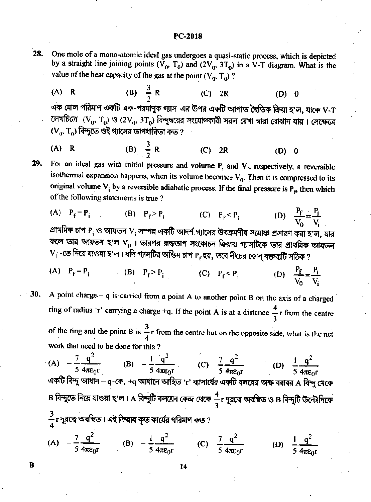- 28. One mole of a mono-atomic ideal gas undergoes a quasi-static process, which is depicted by a straight line joining points  $(\overline{V}_0, T_0)$  and  $(2V_0, 3T_0)$  in a V-T diagram. What is the value of the heat capacity of the gas at the point  $(V_0, T_0)$ ?
	- (B)  $\frac{3}{2}$  R  $(A)$  R  $(C)$  2R  $(D)$  0 এক মোল পরিমাণ একটি এক-পরমাণুক গ্যাস-এর উপর একটি আপাত হৈতিক ক্রিয়া হ'ল, যাকে V-T লেখচিত্রে  $(V_0, T_0)$  ও (2 $V_0$ , 3 $T_0$ ) বিন্দুদ্বয়ের সংযোগকারী সরল রেখা দ্বারা বোঝান যায়। সেক্ষেত্রে  $(V_0, T_0)$  বিন্দুতে ওই গ্যাসের তাপধারিতা কত ?
	- (B)  $\frac{3}{2}$  R  $(A)$  R  $(C)$  2R  $(D)$  0

For an ideal gas with initial pressure and volume  $P_i$  and  $V_i$ , respectively, a reversible 29. isothermal expansion happens, when its volume becomes  $V_0$ . Then it is compressed to its original volume  $V_i$  by a reversible adiabatic process. If the final pressure is  $P_f$  then which of the following statements is true?

$$
\begin{array}{ll}\n\text{(A)} & P_f = P_i \\
\text{(B)} & P_f > P_i \\
\text{(C)} & P_f < P_i \\
\text{(D)} & \frac{P_f}{V_0} = \frac{P_i}{V_i} \\
\text{(E)} & \frac{P_f}{V_0} = \frac{P_i}{V_i} \\
\text{(E)} & \frac{P_f}{V_0} = \frac{P_i}{V_i} \\
\text{(E)} & \frac{P_f}{V_0} = \frac{P_i}{V_i} \\
\text{(E)} & \frac{P_f}{V_0} = \frac{P_i}{V_0} \\
\text{(E)} & \frac{P_f}{V_0} = \frac{P_i}{V_0} \\
\text{(E)} & \frac{P_f}{V_0} = \frac{P_i}{V_0} \\
\text{(E)} & \frac{P_f}{V_0} = \frac{P_i}{V_0} \\
\text{(E)} & \frac{P_f}{V_0} = \frac{P_i}{V_0} \\
\text{(E)} & \frac{P_f}{V_0} = \frac{P_i}{V_0} \\
\text{(E)} & \frac{P_f}{V_0} = \frac{P_i}{V_0} \\
\text{(E)} & \frac{P_f}{V_0} = \frac{P_i}{V_0} \\
\text{(E)} & \frac{P_f}{V_0} = \frac{P_i}{V_0} \\
\text{(E)} & \frac{P_f}{V_0} = \frac{P_i}{V_0} \\
\text{(E)} & \frac{P_f}{V_0} = \frac{P_i}{V_0} \\
\text{(E)} & \frac{P_f}{V_0} = \frac{P_i}{V_0} \\
\text{(E)} & \frac{P_f}{V_0} = \frac{P_i}{V_0} \\
\text{(E)} & \frac{P_f}{V_0} = \frac{P_i}{V_0} \\
\text{(E)} & \frac{P_f}{V_0} = \frac{P_i}{V_0} \\
\text{(E)} & \frac{P_f}{V_0} = \frac{P_i}{V_0} \\
\text{(E)} & \frac{P_f}{V_0} = \frac{P_i}{V_0} \\
\text{(E)} & \frac{P_f}{V_0} = \frac{P_i}{V_0} \\
\text{(E)} & \frac{P_f}{V_0} = \frac{P_i}{V_0} \\
\text{(E)} & \frac{P_f}{V_0} = \
$$

ল তার আয়তন হ'ল V<sub>0</sub> । তারপর রাদ্ধতাপ সংকোচন ক্রিয়ায় গ্যাসটিকে তার প্রাথমিক আয়তন  $\mathbf{V_i}$  -তে নিয়ে যাওয়া হ'ল। যদি গ্যাসটির অন্ডিম চাপ  $\mathbf{P_f}$ হয়, তবে নীচের কোন্ বক্তব্যটি সঠিক ?

- (A)  $P_f = P_i$  (B)  $P_f > P_i$  (C)  $P_f < P_i$ (D)  $\frac{P_f}{V_o} = \frac{P_i}{V}$
- A point charge  $-$  q is carried from a point A to another point B on the axis of a charged 30. ring of radius 'r' carrying a charge +q. If the point A is at a distance  $\frac{4}{3}$ r from the centre of the ring and the point B is  $\frac{3}{4}$  r from the centre but on the opposite side, what is the net work that need to be done for this?

(A) 
$$
-\frac{7}{5} \frac{q^2}{4\pi\epsilon_0 r}
$$
 (B)  $-\frac{1}{5} \frac{q^2}{4\pi\epsilon_0 r}$  (C)  $\frac{7}{5} \frac{q^2}{4\pi\epsilon_0 r}$  (D)  $\frac{1}{5} \frac{q^2}{4\pi\epsilon_0 r}$   
«কটি বিন্দু আধান – q-কে, +q আধানে আহিত 'r' ব্যাসার্বের একটি বলয়ের অক্ষ বরাবর A বিন্দু খেকে  
B বিন্দুতে নিয়ে যাওয়া হ'ল 1 A বিন্দুটি বলয়ের কেন্দ্র থেকে  $\frac{4}{3}$ r দুরত্বে অবম্চিত ও B বিন্দুটি উন্টোদিকে $\frac{3}{4}$ r দুরত্বে অবম্চিত 1 এই ক্রিয়ায় কৃত কার্যের পরিমান কত ?

(A) 
$$
-\frac{7}{5} \frac{q^2}{4\pi \epsilon_0 r}
$$
 (B)  $-\frac{1}{5} \frac{q^2}{4\pi \epsilon_0 r}$  (C)  $\frac{7}{5} \frac{q^2}{4\pi \epsilon_0 r}$  (D)  $\frac{1}{5} \frac{q^2}{4\pi \epsilon_0 r}$ 

14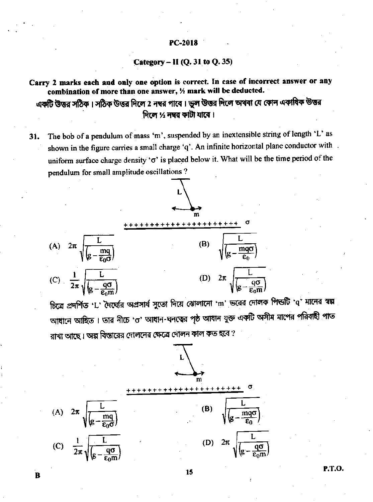### Category  $-$  II (Q. 31 to Q. 35)

Carry 2 marks each and only one option is correct. In case of incorrect answer or any combination of more than one answer, % mark will be deducted. একটি উড়ুর সঠিক । সঠিক উড়ুর দিলে 2 নম্বর পাবে । ভুল উড়ুর দিলে অথবা যে কোন একাধিক উড়ুর

দিলে ½ নম্বর কাটা যাবে ।

The bob of a pendulum of mass 'm', suspended by an inextensible string of length 'L' as 31. shown in the figure carries a small charge 'q'. An infinite horizontal plane conductor with. uniform surface charge density ' $\sigma$ ' is placed below it. What will be the time period of the pendulum for small amplitude oscillations?



চিত্রে প্রদর্শিত 'L' দৈর্ঘ্যের অপ্রসার্য সুতো দিয়ে ঝোলানো 'm' ভরের দোলক পিন্ডটি 'q' মানের স্বল্প আধানে আহিত। তার নীচে 'ত' আধান-ঘনত্বের পৃষ্ঠ আধান যুক্ত একটি অসীম মাপের পরিবাহী পাত রাখা আছে। অল্প বিস্তারের দোলনের ক্ষেত্রে দোলন কাল কত হবে ?



P.T.O.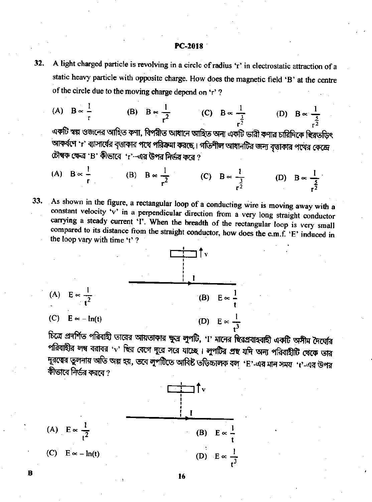- 32. A light charged particle is revolving in a circle of radius 'r' in electrostatic attraction of a static heavy particle with opposite charge. How does the magnetic field 'B' at the centre of the circle due to the moving charge depend on 'r'?
	- (A)  $B \propto \frac{1}{r}$  (B)  $B \propto \frac{1}{r^2}$  (C)  $B \propto \frac{1}{r^2}$  (D)  $B \propto \frac{1}{r^2}$ একটি স্বল্প ওজনের আহিত কণা, বিপরীত আধানে আহিত অন্য একটি ভারী কণার চারিদিকে ব্বিরতড়িৎ আকর্ষণে 'r' ব্যাসার্ষের বত্তাকার পথে পরিক্রমা করছে। গতিশীল আধানটির জন্য বত্তাকার পথের কেন্দ্রে চৌম্বক ক্ষেত্র 'B' কীভাবে 'r'-এর উপর নির্ভর করে ?

(A) 
$$
B \propto \frac{1}{r}
$$
 (B)  $B \propto \frac{1}{r^2}$  (C)  $B \propto \frac{1}{r^2}$  (D)  $B \propto \frac{1}{r^2}$ 

As shown in the figure, a rectangular loop of a conducting wire is moving away with a 33. constant velocity 'v' in a perpendicular direction from a very long straight conductor carrying a steady current 'I'. When the breadth of the rectangular loop is very small compared to its distance from the straight conductor, how does the e.m.f. 'E' induced in the loop vary with time 't'?



চিত্রে প্রদর্শিত পরিবাহী তারের আয়তাকার ক্ষুদ্র লুপটি, '!' মানের ছিরপ্রবাহবাহী একটি অসীম দৈর্ঘ্যের পরিবাহীর লম্ব বরাবর ' ${\bf v}$ ' ছির বেগে দূরে সরে যাচ্ছে। লুপটির প্রহু যদি অন্য পরিবাহীটি থেকে তার দূরত্বের তুলনায় অতি অল্প হয়, তবে লুপটিতে আবিষ্ট তড়িচ্চালক বল 'E'-এর মান সময় 't'-এর উপর কীভাবে নির্ভর কররে <u>প</u>



R

16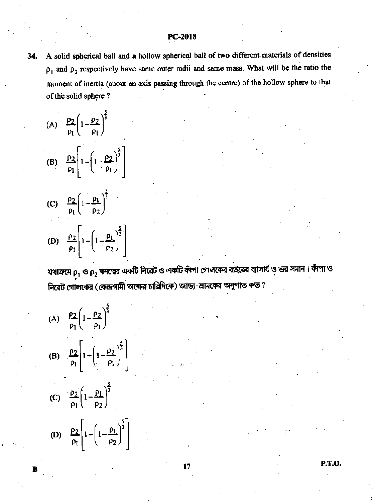34. A solid spherical ball and a hollow spherical ball of two different materials of densities  $\rho_1$  and  $\rho_2$  respectively have same outer radii and same mass. What will be the ratio the moment of inertia (about an axis passing through the centre) of the hollow sphere to that of the solid sphere?

(A) 
$$
\frac{\rho_2}{\rho_1} \left( 1 - \frac{\rho_2}{\rho_1} \right)^{\frac{2}{3}}
$$
  
\n(B)  $\frac{\rho_2}{\rho_1} \left[ 1 - \left( 1 - \frac{\rho_2}{\rho_1} \right)^{\frac{5}{3}} \right]$ 

(C) 
$$
\frac{\rho_2}{\rho_1} \left( 1 - \frac{\rho_1}{\rho_2} \right)^{\frac{5}{3}}
$$
  
\n(D)  $\frac{\rho_2}{\rho_1} \left[ 1 - \left( 1 - \frac{\rho_1}{\rho_2} \right)^{\frac{5}{3}} \right]$ 

যথাক্রমে  $\rho_1$  ও  $\rho_2$  ঘনত্বের একটি নিরেট ও একটি ফাঁপা গোলকের বাইরের ব্যাসার্থ ও ভর সমান। ফাঁপা ও নিরেট গোলকের (কেন্দ্রগামী অক্ষের চারিদিকে) জাড্য-ম্রামকের অনুপাত কত ?

17

(A) 
$$
\frac{\rho_2}{\rho_1} \left( 1 - \frac{\rho_2}{\rho_1} \right)^{\frac{5}{3}}
$$
  
\n(B)  $\frac{\rho_2}{\rho_1} \left[ 1 - \left( 1 - \frac{\rho_2}{\rho_1} \right)^{\frac{5}{3}} \right]$   
\n(C)  $\frac{\rho_2}{\rho_1} \left( 1 - \frac{\rho_1}{\rho_2} \right)^{\frac{5}{3}}$   
\n(D)  $\frac{\rho_2}{\rho_1} \left[ 1 - \left( 1 - \frac{\rho_1}{\rho_2} \right)^{\frac{5}{3}} \right]$ 

P.T.O.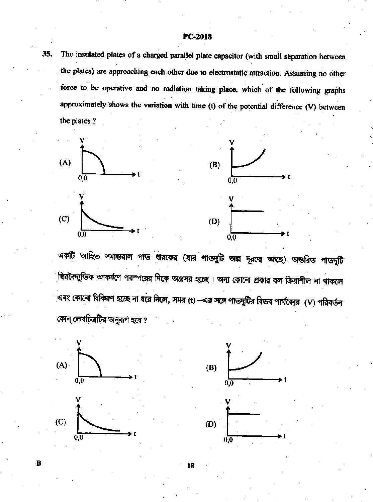The insulated plates of a charged parallel plate capacitor (with small separation between 35. the plates) are approaching each other due to electrostatic attraction. Assuming no other force to be operative and no radiation taking place, which of the following graphs approximately shows the variation with time  $(t)$  of the potential difference  $(V)$  between the plates?



একটি আহিত সমান্তরাল পাত ধারকের (যার পাতদুটি অল্প দূরত্বে আছে) অন্তরিত পাতদুটি ষ্টিরবৈদ্যুতিক আকর্ষণে পরস্পরের দিকে অগ্রসর হচ্ছে। অন্য কোনো প্রকার বল ক্রিয়াশীল না থাকলে এবং কোনো বিকিরণ হচ্ছে না ধরে <mark>নিলে, স</mark>ময় (t) –এর সঙ্গে পাতদুটির বিভব পার্থক্যের (V) পরিবর্তন কোন্ লেখচিত্রটির অনূরূপ হবে ?



B



18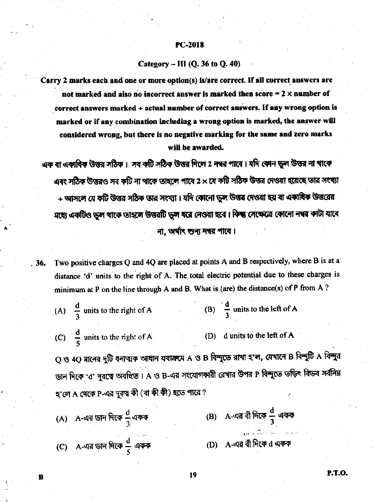### Category - III (Q. 36 to Q. 40)

Carry 2 marks each and one or more option(s) is/are correct. If all correct answers are not marked and also no incorrect answer is marked then score  $= 2 \times$  number of correct answers marked + actual number of correct answers. If any wrong option is marked or if any combination including a wrong option is marked, the answer will considered wrong, but there is no negative marking for the same and zero marks will be awarded.

এক বা একাবিক উত্তর সঠিক। সব কটি সঠিক উত্তর দিলে 2 নম্বর পাবে। যদি কোন ভুল উত্তর না থাকে এবং সঠিক উত্তরও সব কটি না থাকে তাহলে পাবে 2  $\times$ যে কটি সঠিক উত্তর দেওয়া হয়েছে তার সংখ্যা + আসলে যে কটি উত্তর সঠিক তার সংখ্যা। যদি কোনো ভুল উত্তর দেওয়া হয় বা একাষিক উত্তরের মধ্যে একটিও ভুল থাকে তাহলে উত্তরটি ভুল ধরে নেওয়া হবে। কিন্তু সেক্ষেত্রে কোনো নম্বর কাটা যাবে না, অৰ্থাৎ শুন্য নম্বর পাবে।

Two positive charges Q and 4Q are placed at points A and B respectively, where B is at a . 36. distance 'd' units to the right of A. The total electric potential due to these charges is minimum at P on the line through A and B. What is (are) the distance(s) of P from A?

(A) 
$$
\frac{d}{3}
$$
 units to the right of A (B)  $\frac{d}{3}$  units to the left of A

(C)  $\frac{d}{s}$  units to the right of A (D) d units to the left of A

Q ও 4Q মানের দুটি ধনাত্মক আধান যথাক্রমে A ও B বিন্দুতে রাখা হ'ল, যেখানে B বিন্দুটি A বিন্দুর ডান দিকে 'd' দুরত্বে অবস্থিত । A ও B-এর সংযোগকারী রেখার উপর P বিন্দুতে তড়িৎ বিভব সর্বনিম্ন হ'লে A থেকে P-এর দূরত্ব কী (বা কী কী) হতে পারে ?

(B) A-এর বাঁ দিকে  $\frac{d}{3}$  একক (A) A-এর ডান দিকে  $\frac{\mathrm{d}}{3}$  একক (C) A-এর ডান দিকে  $\frac{d}{5}$  একক (D) A-এর বাঁ দিকে d একক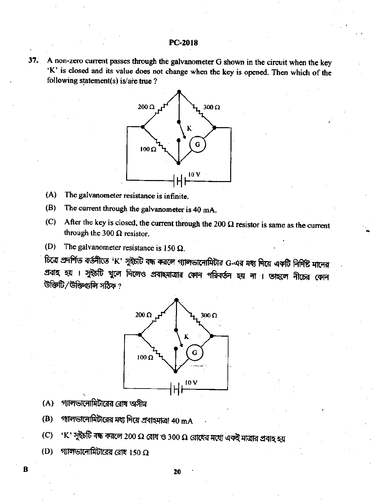37. A non-zero current passes through the galvanometer G shown in the circuit when the key 'K' is closed and its value does not change when the key is opened. Then which of the following statement(s) is/are true ?



- The galvanometer resistance is infinite.  $(A)$
- The current through the galvanometer is 40 mA.  $(B)$
- After the key is closed, the current through the 200  $\Omega$  resistor is same as the current  $(C)$ through the 300  $\Omega$  resistor.
- The galvanometer resistance is 150  $\Omega$ .  $(D)$

চিত্রে প্রদর্শিত বর্তনীতে 'K' সুইচটি বন্ধ করলে গ্যালভানোমিটার G-এর মধ্য দিয়ে একটি নির্দিষ্ট মানের প্রবাহ হয় । সুইচটি খুলে দিলেও প্রবাহমাত্রার কোন পরিবর্তন হয় না । ভাহলে নীচের কোন ং *ক*ৰ্তীদ লিঞ্চজ্ঞতি\ৰ্বীৰ্জীৰ্ত



- গ্যালভানোমিটারের রোধ অসীম  $(A)$
- গ্যালভানোমিটারের মধ্য দিয়ে প্রবাহমাত্রা 40 mA (B)
- 'K' সুইচটি বন্ধ করলে 200 Ω রোধ ও 300 Ω রোধের মধ্যে একই মাত্রার প্রবাহ হয়  $(C)$
- গ্যালভালোমিটারের রোধ 150  $\Omega$ (D)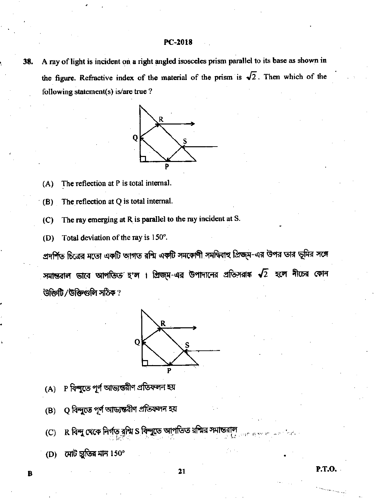A ray of light is incident on a right angled isosceles prism parallel to its base as shown in 38. the figure. Refractive index of the material of the prism is  $\sqrt{2}$ . Then which of the following statement(s) is/are true?



The reflection at P is total internal.  $(A)$ 

The reflection at Q is total internal.  $(B)$ 

- The ray emerging at R is parallel to the ray incident at S.  $(C)$
- Total deviation of the ray is 150°. (D)

প্রদর্শিত চিত্রের মতো একটি আগত রশ্মি একটি সমকোণী সমদ্বিবাহু প্রিজ্ম-এর উপর তার ভূমির সঙ্গে সমান্তরাল ভাবে আপতিত হ'ল । প্রিজ্ম-এর উপাদানের প্রতিসরাঙ্ক  $\sqrt{2}$  হলে নীচের কোন উক্তিটি/উক্তিগুলি সঠিক?



- P বিন্দুতে পূর্ণ আভ্যন্তরীণ প্রতিফলন হয়  $(A)$
- Q বিন্দুতে পূর্ণ আড্যন্তরীণ প্রতিফলন হয়  $(B)$
- R বি<mark>ন্দু থেকে নির্গত ব্রশ্মি S বিন্দুতে আপতিত</mark> রশ্মির স  $(C)$

21

**P.T.O.** 

মোট চুতির মান  $150^{\circ}$ (D)

 $\overline{\mathbf{B}}$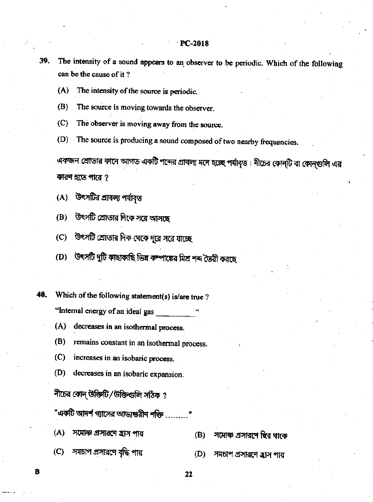- The intensity of a sound appears to an observer to be periodic. Which of the following 39. can be the cause of it?
	- The intensity of the source is periodic.  $(A)$
	- $(B)$ The source is moving towards the observer.
	- $(C)$ The observer is moving away from the source.
	- $(D)$ The source is producing a sound composed of two nearby frequencies.

একজন শ্রোতার কানে আগত একটি শব্দের প্রাবল্য মনে হচ্ছে পর্যাবৃত্ত। নীচের কোন্টি বা কোন্গুুলি এর কারণ হতে পারে ?

উৎসটির প্রাবল্য পর্যাবৃত্ত  $(A)$ 

- উৎসটি শ্রোতার দিকে সরে আসছে  $(B)$
- উৎসটি শ্রোতার দিক থেকে দূরে সরে যাচ্ছে  $(C)$
- উৎসটি দুটি কাছাকাছি ভিন্ন কম্পাঙ্কের মিশ্র শব্দ তৈরী করছে  $(D)$
- Which of the following statement(s) is/are true? 40.

"Internal energy of an ideal gas

- decreases in an isothermal process.  $(A)$
- remains constant in an isothermal process. (B)
- $(C)$ increases in an isobaric process.
- decreases in an isobaric expansion.  $(D)$

নীচের কোন্ উক্তিটি / উক্তিগুলি সঠিক ?

"একটি আদর্শ গ্যাসের আভ্যন্তরীণ শক্তি

- $(A)$ সমোস্ক প্রসারণে হ্রাস পায়
- (C) সমচাপ প্রসারণে বৃদ্ধি পায়

R

- সমোষ্ণ প্রসারণে ছির থাকে (B)
- (D) সমচাপ প্রসারণে হ্রাস পায়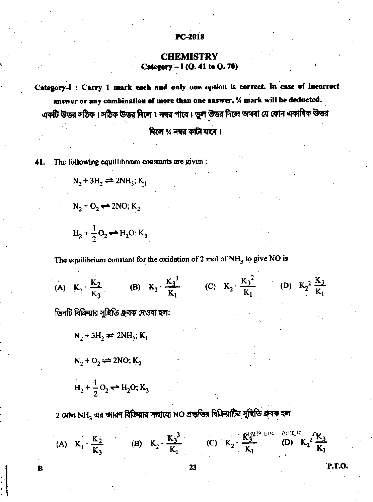# **CHEMISTRY** Category -  $I(Q. 41$  to  $Q. 70$ )

Category-I: Carry 1 mark each and only one option is correct. In case of incorrect answer or any combination of more than one answer, 1/4 mark will be deducted. একটি উত্তর সঠিক । সঠিক উত্তর দিলে 1 নম্বর পাবে । ভুল উত্তর দিলে অথবা যে কোন একাধিক উত্তর

দিলে % নম্বর কাটা যাবে।

41. The following equillibrium constants are given:

 $N_2 + 3H_2 \rightleftharpoons 2NH_3$ ; K<sub>1</sub>

 $N_2 + O_2 \rightleftharpoons 2NO; K_2$  $H_2 + \frac{1}{2}O_2 \rightleftharpoons H_2O; K_3$ 

The equilibrium constant for the oxidation of 2 mol of  $NH<sub>3</sub>$  to give NO is

(A)  $K_1 \cdot \frac{K_2}{K_3}$  (B)  $K_2 \cdot \frac{K_3^3}{K_1}$  (C)  $K_2 \cdot \frac{K_3^2}{K_1}$  (D)  $K_2^2 \frac{K_3}{K_1}$ 

তিনটি বিক্রিয়ার সন্থিতি গ্রুবক দেওয়া হল:

 $N_2 + 3H_2 \rightleftharpoons 2NH_3$ ;  $K_1$ 

 $N_2 + O_2 \rightleftharpoons 2NO; K_2$ 

 $H_2 + \frac{1}{2}O_2 \rightarrow H_2O; K_3$ 

2 মোল NH $_{\rm 3}$  এর জারণ বিক্রিয়ার সাহায্যে NO প্রন্তুতির বিক্রিয়াটির সুখিতি গ্রুবক হল

(A)  $K_1 \cdot \frac{K_2}{K_3}$  (B)  $K_2 \cdot \frac{K_3^3}{K_1}$  (C)  $K_2 \cdot \frac{K_3^{120 \text{ Fbkg}}}{K_1}$  (D)  $K_2^2 \cdot \frac{K_3^{120 \text{ Fbkg}}}{K_1}$ 

в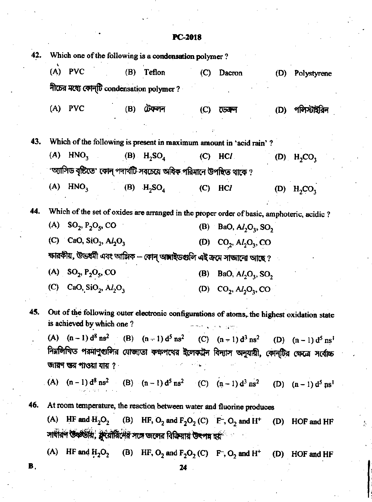| 42. |     |                                                            |     | Which one of the following is a condensation polymer?                                                                           |                           |                                      |     |                 |
|-----|-----|------------------------------------------------------------|-----|---------------------------------------------------------------------------------------------------------------------------------|---------------------------|--------------------------------------|-----|-----------------|
|     | (A) | <b>PVC</b>                                                 |     | (B) Teflon                                                                                                                      | $\left($ C)               | Dacron                               | (D) | Polystyrene     |
|     |     | নীচের মধ্যে কোন্টি condensation polymer?                   |     |                                                                                                                                 |                           |                                      |     |                 |
|     | (A) | <b>PVC</b>                                                 | (B) | টেফলন                                                                                                                           | $\left(\mathrm{C}\right)$ | ডেবল                                 | (D) | পলিস্টাইরিন     |
| 43. |     |                                                            |     | Which of the following is present in maximum amount in 'acid rain'?                                                             |                           |                                      |     |                 |
|     | (A) | HNO <sub>3</sub>                                           |     | (B) $H_2SO_4$                                                                                                                   |                           | $(C)$ HCl                            |     | $(D)$ $H_2CO_3$ |
|     |     |                                                            |     | 'অ্যাসিড বৃষ্টিতে' কোন্ পদার্থটি সবচেয়ে অধিক পরিমানে উপস্থিত থাকে ?                                                            |                           |                                      |     |                 |
|     | (A) | HNO <sub>3</sub>                                           |     | (B) $H_2SO_4$                                                                                                                   | (C)                       | HCI                                  | (D) | $H_2CO_3$       |
| 44. |     |                                                            |     | Which of the set of oxides are arranged in the proper order of basic, amphoteric, acidic ?                                      |                           |                                      |     |                 |
|     |     | (A) $SO_2, P_2O_5, CO$                                     |     |                                                                                                                                 |                           | (B) BaO, $Al_2O_3$ , SO <sub>2</sub> |     |                 |
|     |     | (C) CaO, SiO <sub>2</sub> , Al <sub>2</sub> O <sub>3</sub> |     |                                                                                                                                 |                           | (D) $CO_2$ , $Al_2O_3$ , CO          |     |                 |
|     |     |                                                            |     | ক্ষারকীয়, উভধর্মী এবং আঙ্গিক -- কোন্ অঙ্গাইডগুলি এই ক্রমে সাজানো আছে ?                                                         |                           |                                      |     |                 |
|     |     | (A) $SO_2, P_2O_5, CO$                                     |     |                                                                                                                                 | (B)                       | BaO, $AI2O3$ , SO <sub>2</sub>       |     |                 |
|     |     | (C) CaO, SiO <sub>2</sub> , Al <sub>2</sub> O <sub>3</sub> |     |                                                                                                                                 |                           | (D) $CO_2$ , $Al_2O_3$ , CO          |     |                 |
| 45. |     | is achieved by which one?                                  |     | Out of the following outer electronic configurations of atoms, the highest oxidation state                                      |                           |                                      |     |                 |
|     |     |                                                            |     | (A) $(n-1) d^8 n s^2$ (B) $(n-1) d^5 n s^2$ (C) $(n-1) d^3 n s^2$ (D) $(n-1) d^5 n s^1$                                         |                           |                                      |     |                 |
|     |     |                                                            |     | নির্মলিখিত পরমাণুগুলির যোজ্যতা কক্ষপথের ইলেকট্রন বিন্যাস অনুযায়ী, কোন্টির ক্ষেত্রে সর্বোচ্চ                                    |                           |                                      |     |                 |
|     |     | জা <b>রণ শু</b> র পাওয়া যায় ?                            |     |                                                                                                                                 | 经不同 网络星座                  |                                      |     |                 |
|     |     |                                                            |     | (A) $(n-1) d^8$ ns <sup>2</sup> (B) $(n-1) d^5$ ns <sup>2</sup> (C) $(n-1) d^3$ ns <sup>2</sup> (D) $(n-1) d^5$ ns <sup>1</sup> |                           |                                      |     |                 |
| 46. |     |                                                            |     | At room temperature, the reaction between water and fluorine produces                                                           |                           |                                      |     |                 |
|     |     |                                                            |     | (A) HF and $H_2O_2$ (B) HF, $O_2$ and $F_2O_2$ (C) $F^-$ , $O_2$ and H <sup>+</sup> (D) HOF and HF                              |                           |                                      |     |                 |
|     |     |                                                            |     | সাধীরণ উষ্ণতীয়, ফ্রুয়োরিদের সঙ্গে জলের বিক্রিয়ায় উৎপন্ন হয় <sup>ে</sup>                                                    |                           |                                      |     |                 |
|     |     |                                                            |     | (A) HF and $H_2O_2$ (B) HF, $O_2$ and $F_2O_2$ (C) F, $O_2$ and H <sup>+</sup> (D) HOF and HF                                   |                           |                                      |     |                 |
| B.  |     |                                                            |     | 74                                                                                                                              |                           |                                      |     |                 |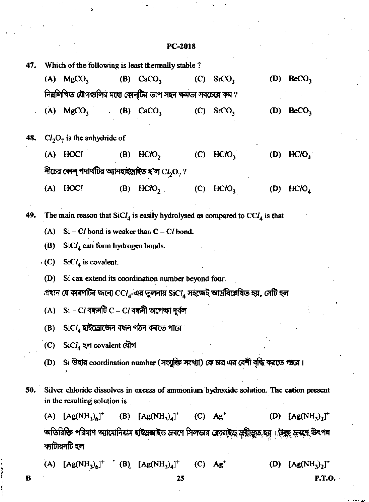$\ddot{\phantom{0}}$ 

| 47. |             | Which of the following is least thermally stable?                                                                              |                            |                                                                                |     |                         |     |                       |
|-----|-------------|--------------------------------------------------------------------------------------------------------------------------------|----------------------------|--------------------------------------------------------------------------------|-----|-------------------------|-----|-----------------------|
|     |             | (A) $MgCO3$                                                                                                                    |                            | (B) $CaCO3$                                                                    |     | (C) $SrCO3$             |     | (D) $BeCO3$           |
|     |             | নিম্নলিখিত যৌগগুলির মধ্যে কোন্টির তাপ সহন ক্ষমতা সবচেয়ে কম ?                                                                  |                            |                                                                                |     |                         |     |                       |
|     |             | $(A)$ MgCO <sub>3</sub>                                                                                                        | $\mathcal{L}^{\text{max}}$ | (B) $CaCO3$                                                                    |     | (C) $SrCO3$ .           | (D) | BeCO <sub>3</sub>     |
| 48. |             | $Cl2O7$ is the anhydride of                                                                                                    |                            |                                                                                |     |                         |     |                       |
|     |             | $(A)$ HOCl                                                                                                                     |                            | $(B)$ HClO <sub>2</sub>                                                        |     | $(C)$ HClO <sub>2</sub> |     | (D) HClO <sub>4</sub> |
|     |             | নীচের কোন্ পদার্থটির অ্যানহাইড্রাইড হ'ল $\mathbf{C}l_2\mathbf{O}_7$ ?                                                          |                            |                                                                                |     |                         |     |                       |
|     |             | $(A)$ HOCl                                                                                                                     | (B)                        | HCIO <sub>2</sub>                                                              | (C) | HCIO <sub>3</sub>       | (D) | HCIO <sub>4</sub>     |
| 49. |             | The main reason that $SiCl4$ is easily hydrolysed as compared to $CCI4$ is that                                                |                            |                                                                                |     |                         |     |                       |
|     | (A)         |                                                                                                                                |                            | $Si - Cl$ bond is weaker than $C - Cl$ bond.                                   |     |                         |     |                       |
|     | (B)         | $SiCl4$ can form hydrogen bonds.                                                                                               |                            |                                                                                |     |                         |     |                       |
|     | $\cdot$ (C) | $SiCl4$ is covalent.                                                                                                           |                            |                                                                                |     |                         |     |                       |
|     | (D)         |                                                                                                                                |                            | Si can extend its coordination number beyond four.                             |     |                         |     |                       |
|     |             | প্রধান যে কারণটির জন্যে $\text{CC}l_4$ -এর তুলনায় $\text{SiC}l_4$ সহজেই আর্দ্রবিশ্লেষিত হয়, সেটি হল                          |                            |                                                                                |     |                         |     |                       |
|     | (A)         | $Si$ – $Cl$ বন্ধনটি $C$ – $Cl$ বন্ধনী অপেক্ষা দুৰ্বল                                                                           |                            |                                                                                |     |                         |     |                       |
|     | (B)         |                                                                                                                                |                            | $\mathrm{SiCl}_4$ হাইড্রোজেন বন্ধন গঠন করতে পারে                               |     |                         |     |                       |
|     | (C)         | $SiCl4$ হল covalent যৌগ                                                                                                        |                            |                                                                                |     |                         |     |                       |
|     | (D)         |                                                                                                                                |                            | Si উহার coordination number (সংযুক্তি সংখ্যা) কে চার এর বেশী বৃদ্ধি করতে পারে। |     |                         |     |                       |
| 50. |             | Silver chloride dissolves in excess of ammonium hydroxide solution. The cation present<br>in the resulting solution is         |                            |                                                                                |     |                         |     |                       |
|     | (A)         |                                                                                                                                |                            | $[Ag(NH_3)_6]^+$ (B) $[Ag(NH_3)_4]^+$ (C) $Ag^+$                               |     |                         |     | (D) $[Ag(NH_1)_2]^+$  |
|     |             | অতিরিক্তি পরিমাণ অ্যামোনিয়াম হাইড্রক্সাইড দ্রবণে সিলভার ক্লোরাইড় দ্রুন্নীভূ্রু, হয়। উক্ক্লু দ্রবণে উৎপন্ন<br>ক্যাটায়নটি হল |                            |                                                                                |     |                         |     |                       |
|     |             | (A) $[Ag(NH_3)_6]^+$ (B) $[Ag(NH_3)_4]^+$ (C) $Ag^+$                                                                           |                            |                                                                                |     |                         |     | (D) $[Ag(NH_3)_2]^+$  |
| В   |             |                                                                                                                                |                            |                                                                                | 25  |                         |     | <b>P.T.O.</b>         |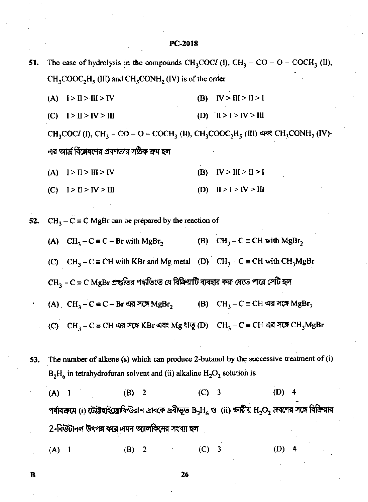51. The ease of hydrolysis in the compounds CH<sub>3</sub>COCl (I), CH<sub>3</sub> – CO – O – COCH<sub>3</sub> (II),  $CH_3COOC_2H_5$  (III) and CH<sub>3</sub>CONH<sub>2</sub> (IV) is of the order

- (B)  $IV > III > II > I$  $(A)$   $I > II > III > IV$
- (C)  $I > II > IV > III$ (D)  $\text{II} > \text{I} > \text{IV} > \text{III}$

CH<sub>3</sub>COCl (I), CH<sub>3</sub> – CO – O – COCH<sub>3</sub> (II), CH<sub>3</sub>COOC<sub>2</sub>H<sub>5</sub> (III) এবং CH<sub>3</sub>CONH<sub>2</sub> (IV)-এর আর্দ্র বিশ্লেষণের প্রবণতার সঠিক ক্রম হল

- (B)  $IV > III > II > I$ (A)  $I > II > III > IV$
- $(C)$   $I > II > IV > III$ (D)  $II > I > IV > III$

 $CH_3 - C \equiv C$  MgBr can be prepared by the reaction of 52.

- (A)  $CH_3 C \equiv C Br$  with  $MgBr_2$ (B)  $CH_3 - C \equiv CH$  with MgBr<sub>2</sub>
- (C) CH<sub>3</sub> C = CH with KBr and Mg metal (D) CH<sub>3</sub> C = CH with CH<sub>3</sub>MgBr

 $CH<sub>3</sub> - C = C MgBr$  প্রস্তুতির পদ্ধতিতে যে বিক্রিয়াটি ব্যবহার করা যেতে পারে সেটি হল

(A) CH<sub>3</sub> – C ≡ C – Br এর সঙ্গে MgBr<sub>2</sub> (B)  $CH_3 - C \equiv CH \triangleleft R \triangleleft R \triangleleft R$   $MgBr_2$ 

(C)  $\cdot$  CH<sub>3</sub> – C = CH এর সঙ্গে KBr এবং Mg ধাতু (D) CH<sub>3</sub> – C = CH এর সঙ্গে CH<sub>3</sub>MgBr

The number of alkene (s) which can produce 2-butanol by the successive treatment of (i) 53.  $B_2H_6$  in tetrahydrofuran solvent and (ii) alkaline  $H_2O_2$  solution is

 $(D)$  4  $(A)$  $(B) 2$  $(C)$  3  $\overline{1}$ পর্যায়ক্রমে (i) টেট্রাহাইড্রোফিউরান দ্রাবকে দ্রবীভূত  $\rm B_2H_6$  ও (ii) ক্ষারীয়  $\rm H_2O_2$  দ্রবণের সঙ্গে বিক্রিয়ায় 2-বিউটানল উৎপন্ন করে এমন অ্যালকিনের সংখ্যা হল

 $(A)$  1 (B)  $\overline{2}$  $(C)$  3 (D)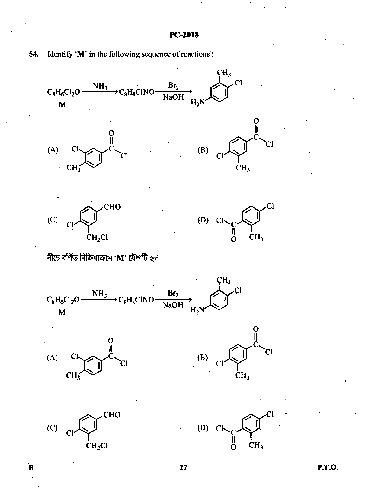

Identify 'M' in the following sequence of reactions': 54.

**P.T.O.** 

 $\mathbf B$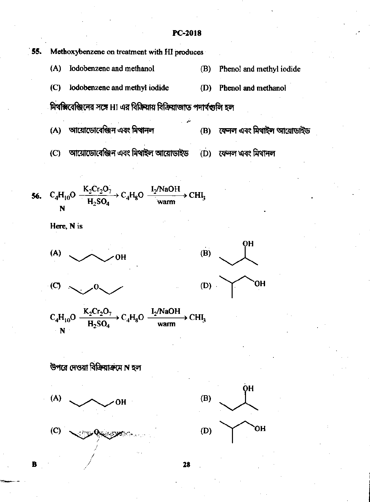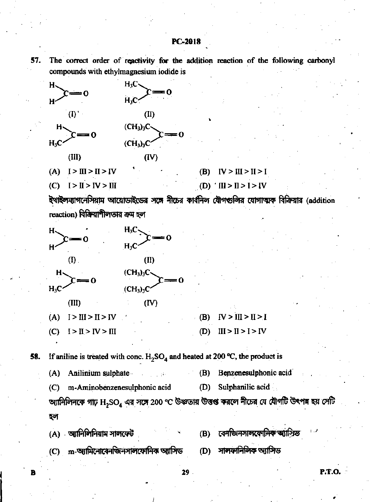57.

The correct order of reactivity for the addition reaction of the following carbonyl compounds with ethylmagnesium iodide is



ইখাইলম্যাগনেসিয়াম আয়োডাইডের সঙ্গে নীচের কার্বনিল যৌগগুলির যোগাত্মক বিক্রিয়ার (addition reaction) বিক্রিয়াশীলতার ক্রম হল



If aniline is treated with conc.  $H_2SO_4$  and heated at 200 °C, the product is 58.

 $(A)$ Anilinium sulphate  $(B)$ Benzenesulphonic acid  $\sim 100$  $(D)$ Sulphanilic acid  $(C)$ m-Aminobenzenesulphonic acid অ্যানিলিনকে গাঢ়  $\rm{H_2SO_4}$  এর সঙ্গে 200 °C উষ্ণতায় উত্তপ্ত করলে নীচের যে যৌগটি উৎপন্ন হয় সেটি

হল

B

(A) অ্যানিলিনিয়াম সালফেট

- $(C)$  m-জ্যামিনোবেনজিনসালফোনিক জ্যাসিড
- বেনজিনসালফোনিক অ্যাসিড (B)

**P.T.O.** 

- সালফানিলিক অ্যাসিড (D)
- $29<sub>1</sub>$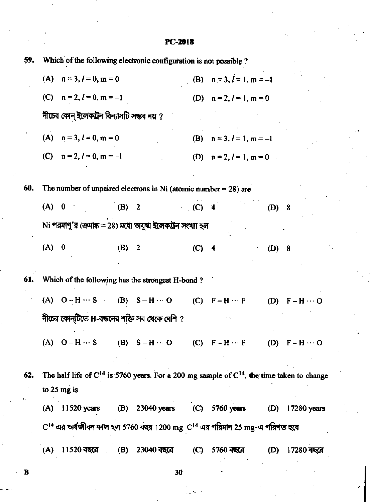| 59. |                           |                                           | Which of the following electronic configuration is not possible?   |         |                                                                                                     |         |             |
|-----|---------------------------|-------------------------------------------|--------------------------------------------------------------------|---------|-----------------------------------------------------------------------------------------------------|---------|-------------|
|     | (A) $n = 3, l = 0, m = 0$ |                                           |                                                                    |         | (B) $n = 3, l = 1, m = -1$                                                                          |         |             |
|     |                           | (C) $n = 2, l = 0, m = -1$                |                                                                    |         | (D) $n = 2, l = 1, m = 0$                                                                           |         |             |
|     |                           | নীচের কোন্ ইলেকট্রন বিন্যাসটি সম্ভব নয় ? |                                                                    |         |                                                                                                     |         |             |
|     | (A) $n = 3, l = 0, m = 0$ |                                           |                                                                    |         | (B) $n = 3, l = 1, m = -1$                                                                          |         |             |
|     |                           | (C) $n = 2, l = 0, m = -1$                |                                                                    |         | (D) $n = 2, l = 1, m = 0$                                                                           |         |             |
|     |                           |                                           |                                                                    |         |                                                                                                     |         |             |
| 60. |                           |                                           | The number of unpaired electrons in Ni (atomic number $= 28$ ) are |         |                                                                                                     |         |             |
|     | $(A)$ 0                   | $(B)$ 2                                   |                                                                    | $(C)$ 4 |                                                                                                     | $(D)$ 8 |             |
|     |                           |                                           | Ni পরমাণু'র (ক্রমাঙ্ক = 28) মধ্যে অযুগ্ম ইলেকট্রন সংখ্যা হল        |         |                                                                                                     |         |             |
|     | $(A)$ 0                   | (B) 2                                     |                                                                    | $(C)$ 4 |                                                                                                     | $(D)$ 8 |             |
|     |                           |                                           |                                                                    |         |                                                                                                     |         |             |
| 61. |                           |                                           | Which of the following has the strongest H-bond?                   |         |                                                                                                     |         |             |
|     |                           |                                           |                                                                    |         | (A) $O-H \cdots S$ (B) $S-H \cdots O$ (C) $F-H \cdots F$ (D) $F-H \cdots O$                         |         |             |
|     |                           |                                           | নীচের কোন্টিতে H-বন্ধনের শক্তি সব থেকে বেশি ?                      |         |                                                                                                     |         |             |
|     |                           |                                           |                                                                    |         | (A) $O-H \cdots S$ (B) $S-H \cdots O$ (C) $F-H \cdots F$ (D) $F-H \cdots O$                         |         |             |
|     |                           |                                           |                                                                    |         |                                                                                                     |         |             |
| 62. |                           |                                           |                                                                    |         | The half life of $C^{14}$ is 5760 years. For a 200 mg sample of $C^{14}$ , the time taken to change |         |             |
|     | to $25$ mg is             |                                           |                                                                    |         |                                                                                                     |         |             |
|     | $11520$ years<br>(A)      |                                           | (B) 23040 years                                                    |         | $(C)$ 5760 years                                                                                    | (D)     | 17280 years |
|     |                           |                                           |                                                                    |         | $\rm C^{14}$ এর অর্থজীবন কাল হল 5760 বছর । 200 mg $\rm\,C^{14}$ এর পরিমান 25 mg-এ পরিণত হবে         |         |             |
|     | (A)                       | 11520 বছরে<br>(B)                         | $23040$ বছরে (C)                                                   |         | 5760 বছরে                                                                                           | (D)     | 17280 বছরে  |
|     |                           |                                           |                                                                    |         |                                                                                                     |         |             |

 $30^{\circ}$ 

 $\overline{\mathbf{B}}$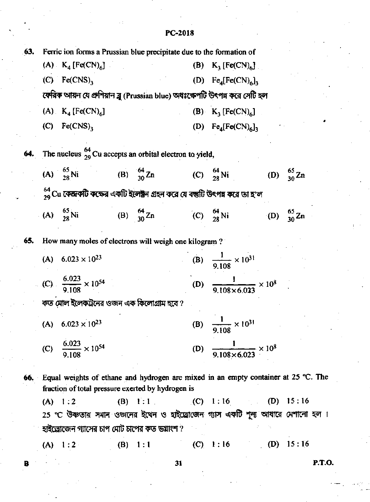| 63. |     | Ferric ion forms a Prussian blue precipitate due to the formation of         |     |                                               |     |                                                                                             |            |                        |
|-----|-----|------------------------------------------------------------------------------|-----|-----------------------------------------------|-----|---------------------------------------------------------------------------------------------|------------|------------------------|
|     |     | (A) $K_4$ [Fe(CN) <sub>6</sub> ]                                             |     |                                               |     | (B) $K_3$ [Fe(CN) <sub>6</sub> ]                                                            |            |                        |
|     |     | $(C)$ Fe(CNS) <sub>3</sub>                                                   |     |                                               |     | (D) $Fe_4[Fe(CN)_6]$                                                                        |            |                        |
|     |     |                                                                              |     |                                               |     | ফেরিক আয়ন যে প্রুশিয়ান ব্লু (Prussian blue) অধঃক্ষেপটি উৎপন্ন করে সেটি হল                 |            |                        |
|     |     | (A) $K_4$ [Fe(CN) <sub>6</sub> ]                                             |     |                                               |     | (B) $K_2$ [Fe(CN) <sub>6</sub> ]                                                            |            |                        |
|     |     | $(C)$ Fe(CNS),                                                               |     |                                               |     | (D) $Fe_4[Fe(CN)_6]$ ,                                                                      |            |                        |
|     |     | <b>64.</b> The nucleus $^{64}_{29}$ Cu accepts an orbital electron to yield, |     |                                               |     |                                                                                             |            |                        |
|     |     |                                                                              |     |                                               |     | (A) $\frac{65}{28}$ Ni (B) $\frac{64}{30}$ Zn (C) $\frac{64}{28}$ Ni (D) $\frac{65}{30}$ Zn |            |                        |
|     |     |                                                                              |     |                                               |     | $^{64}_{29}$ Cu কেন্দ্রকটি কক্ষের একটি ইলেক্ট্রন গ্রহন করে যে বন্তুটি উৎপন্ন করে তা হ'ল     |            |                        |
|     |     | (A) $\frac{65}{28}$ Ni                                                       |     | (B) $\frac{64}{30}$ Zn (C) $\frac{64}{28}$ Ni |     |                                                                                             |            | (D) $\frac{65}{30}$ Zn |
| 65. |     | How many moles of electrons will weigh one kilogram?                         |     |                                               |     |                                                                                             |            |                        |
|     |     | (A) $6.023 \times 10^{23}$                                                   |     |                                               |     | (B) $\frac{1}{9.108} \times 10^{31}$                                                        |            |                        |
|     |     | (C) $\frac{6.023}{9.108} \times 10^{54}$                                     |     |                                               |     | (D) $\frac{1}{9.108 \times 6.023} \times 10^8$                                              |            |                        |
|     |     | কত মোল ইলেকট্রনের ওজন এক কিলোগ্রাম হবে ?                                     |     |                                               |     |                                                                                             |            |                        |
|     |     | (A) $6.023 \times 10^{23}$                                                   |     |                                               |     | (B) $\frac{1}{9.108} \times 10^{31}$                                                        |            |                        |
|     | (C) | $\frac{6.023}{9.108} \times 10^{54}$                                         |     |                                               | (D) | $\frac{1}{9.108 \times 6.023} \times 10^8$                                                  |            |                        |
|     |     | fraction of total pressure exerted by hydrogen is                            |     |                                               |     | 66. Equal weights of ethane and hydrogen are mixed in an empty container at 25 °C. The      |            |                        |
|     |     | (A) 1:2                                                                      |     | (B) 1:1                                       |     | <b>(C)</b> 1:16                                                                             | (D)        | 15:16                  |
|     |     |                                                                              |     |                                               |     | 25 °C উষ্ণতায় সমান ওজনের ইথেন ও হাইড্রোজেন গ্যাস একটি শূন্য আধারে মেশানো হল ।              |            |                        |
|     |     | হাইড্রোজেন গ্যাসের চাপ মোট চাপের কত ভয়াংশ ?                                 |     |                                               |     |                                                                                             |            |                        |
|     |     | (A) 1:2                                                                      | (B) | 1:1                                           | (C) | 1:16                                                                                        | <b>(D)</b> | 15:16                  |

31

**P.T.O.** 

 $\mathbf{I}$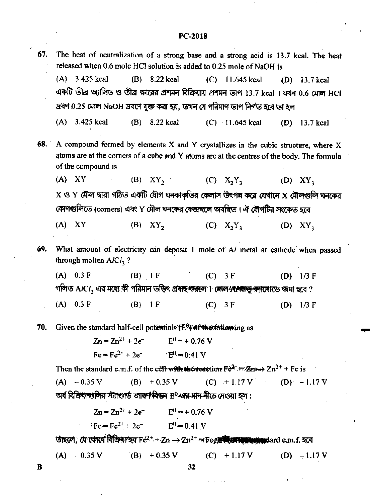- The heat of neutralization of a strong base and a strong acid is 13.7 kcal. The heat 67. released when 0.6 mole HCl solution is added to 0.25 mole of NaOH is
	- $(A)$  3.425 kcal (B)  $8.22$  kcal  $(C)$  11.645 kcal (D)  $13.7$  kcal একটি তীব্র অ্যাসিড ও তীব্র ক্ষারের প্রশমন বিক্রিয়ায় প্রশমন তাপ 13.7 kcal । যখন 0.6 মোল HCl দ্রবণ 0.25 মোল NaOH দ্রবণে যুক্ত করা হয়, তখন যে পরিমাণ তাপ নির্গত হবে তা হল

 $(A)$ 3.425 kcal  $(B)$  8.22 kcal  $(C)$  11.645 kcal  $(D)$  13.7 kcal

- $68.$ A compound formed by elements X and Y crystallizes in the cubic structure, where X atoms are at the corners of a cube and Y atoms are at the centres of the body. The formula of the compound is
	- $(A)$   $XY$  $(B)$  XY, (C)  $X_2Y_3$  $(D)$  $XY_{3}$  $X$  ও  $Y$  মৌল দ্বারা গঠিত একটি যৌগ ঘনকাকৃতির কেলাস উৎপন্ন করে যেখানে  $X$  মৌলগুলি ঘনকের কোণগুলিতে (corners) এবং Y মৌল ঘনকের কেন্দ্রহলে অবহিত। ঐ যৌগটির সংকেত হবে
	- $(B)$   $XY_2$  $(C)$   $X_2Y_3$  $(A)$   $XY$  $(D)$   $XY_3$
- 69. What amount of electricity can deposit 1 mole of Al metal at cathode when passed through molten  $A/Cl_3$ ?

| (A) 0.3 F<br>$(B)$ IF |          | (C) 3F                                                                                                             |           |  | (D) $1/3 \text{ F}$ |
|-----------------------|----------|--------------------------------------------------------------------------------------------------------------------|-----------|--|---------------------|
|                       |          | গলিত A <i>ICI</i> , এর মধ্যে কী পরিমান ভক্তিৎ প্র <del>থাহ করলে</del> । সোল প্রা <b>শ্বাভু ক্যাযো</b> ডে জমা হবে ? |           |  |                     |
| (A) 0.3 F             | $(B)$ IF |                                                                                                                    | $(C)$ 3 F |  | (D) $1/3$ F         |

70. Given the standard half-cell potentials  $(E^0)$  of the following as

$$
Zn = Zn^{2+} + 2e^- \qquad E^0 = +0.76 \text{ V}
$$
  
Fe = Fe<sup>2+</sup> + 2e^- \qquad TE<sup>0</sup> = 0.41 V

Then the standard e.m.f. of the cell with the reaction  $F\ddot{\sigma}^2 + H\ddot{\sigma}$   $\rightarrow$   $Zn^{2+}$  + Fe is  $(A) - 0.35 V$  $(D)$  - 1.17 V  $(B) + 0.35$  V  $(C) + 1.17 V$ অৰ্ধ বি<del>ক্ৰিয়াগুলির স্ট্যাণ্ডার্ড জারুণবিদ্দে</del>ব E<sup>0</sup>-এর মান নীচে দেওয়া হল :

$$
Zn = Zn^{2+} + 2e^{-} \t E^{0} = + 0.76 \text{ V}
$$
  
 
$$
{}^{1}Fe = Fe^{2+} + 2e^{-} \t E^{0} = 0.41 \text{ V}
$$

তাঁছলো, যে কোৰো বিভিন্দা হয় Fe<sup>2+</sup>+ Zn  $\rightarrow$  Zn<sup>2+</sup> ++Fee **All APM and A**nd e.m.f. হবে  $(A) -0.35 V$  $(C) + 1.17 V$  $(D) - 1.17 V$ (B)  $+0.35$  V

32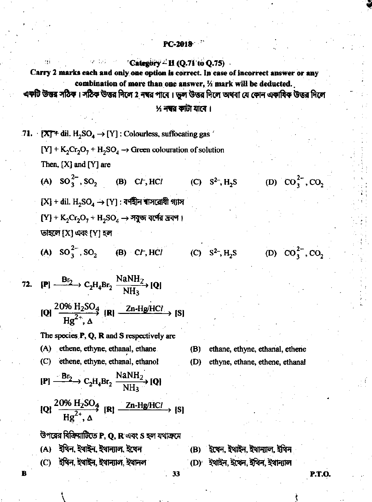# Category  $\sim$  II (Q.71 to Q.75)

Carry 2 marks each and only one option is correct. In case of incorrect answer or any combination of more than one answer, 1/2 mark will be deducted.

একটি উত্তর সঠিক। সঠিক উত্তর দিলে 2 নম্বর পাবে । ভুল উত্তর দিলে অথবা যে কোন একাষিক উত্তর দিলে

## ½ **নম্বর কাটা যাবে** ।

71.  $[X]^+$  dil.  $H_2SO_4 \rightarrow [Y]$ : Colourless, suffocating gas  $[Y] + K_2Cr_2O_7 + H_2SO_4 \rightarrow$  Green colouration of solution Then,  $[X]$  and  $[Y]$  are (A)  $SO_3^{2-}$ ,  $SO_2$  (B) C*t*, HCl (C)  $S^2$ , H<sub>2</sub>S  $[X]$  + dil.  $\mathrm{H}_2\mathrm{SO}_4\to [Y]$  : বর্ণহীন ৰাসরোধী গ্যাস  $[Y] + K_2Cr_2O_7 + H_2SO_4 \rightarrow \overline{3}S$ জ বর্ষের দ্রবন। তাহলে [X] এবং [Y] হল (A)  $SO_3^{2-}$ ,  $SO_2$  (B) C*F*, HCl (C)  $S^2$ , H<sub>2</sub>S 72.  $[{\bf P}] \xrightarrow{\bf Br_2} C_2H_4Br_2 \xrightarrow{\rm N3NH_2} [{\bf Q}]$ [Q]  $\frac{20\% \text{ H}_2\text{SO}_4}{\text{H}\sigma^2}$  [R]  $\frac{\text{Zn-Hg/HCl}}{\text{H}}$  [S] The species P, Q, R and S respectively are (A) ethene, ethyne, ethanal, ethane  $(B)$ (C) ethene, ethyne, ethanal, ethanol (D)  $[{\bf P}] \xrightarrow{\bf Br_2} C_2H_4Br_2 \xrightarrow{\rm N\bar{a}NH_2} [{\bf Q}]$ [Q]  $\frac{20\% \text{ H}_2\text{SO}_4}{\text{H}\sigma^2$  [R]  $\frac{\text{Zn-Hg/HCl}}{\text{H}}$  [S] উপরের বিক্রিয়াটিতে P, Q, R এবং S হল যথাক্রমে (A) ইথিন ইথাইন ইথান্যাল ইথেন (B) ইথেন, ইথাইন, ইথান্যাল, ইথিন (C) ইথিন, ইথাইন, ইথান্যাল, ইথানল

B

(D)  $CO_3^{2-}$ ,  $CO_2$ 

(D)  $CO_3^{2-}$ ,  $CO_2$ 

ethane, ethyne, ethanal, ethene

ethyne, ethane, ethene, ethanal

- 
- (D) ইথাইন. ইথেন. ইথিন. ইথান্যাল

 $33$ 

**P.T.O.**